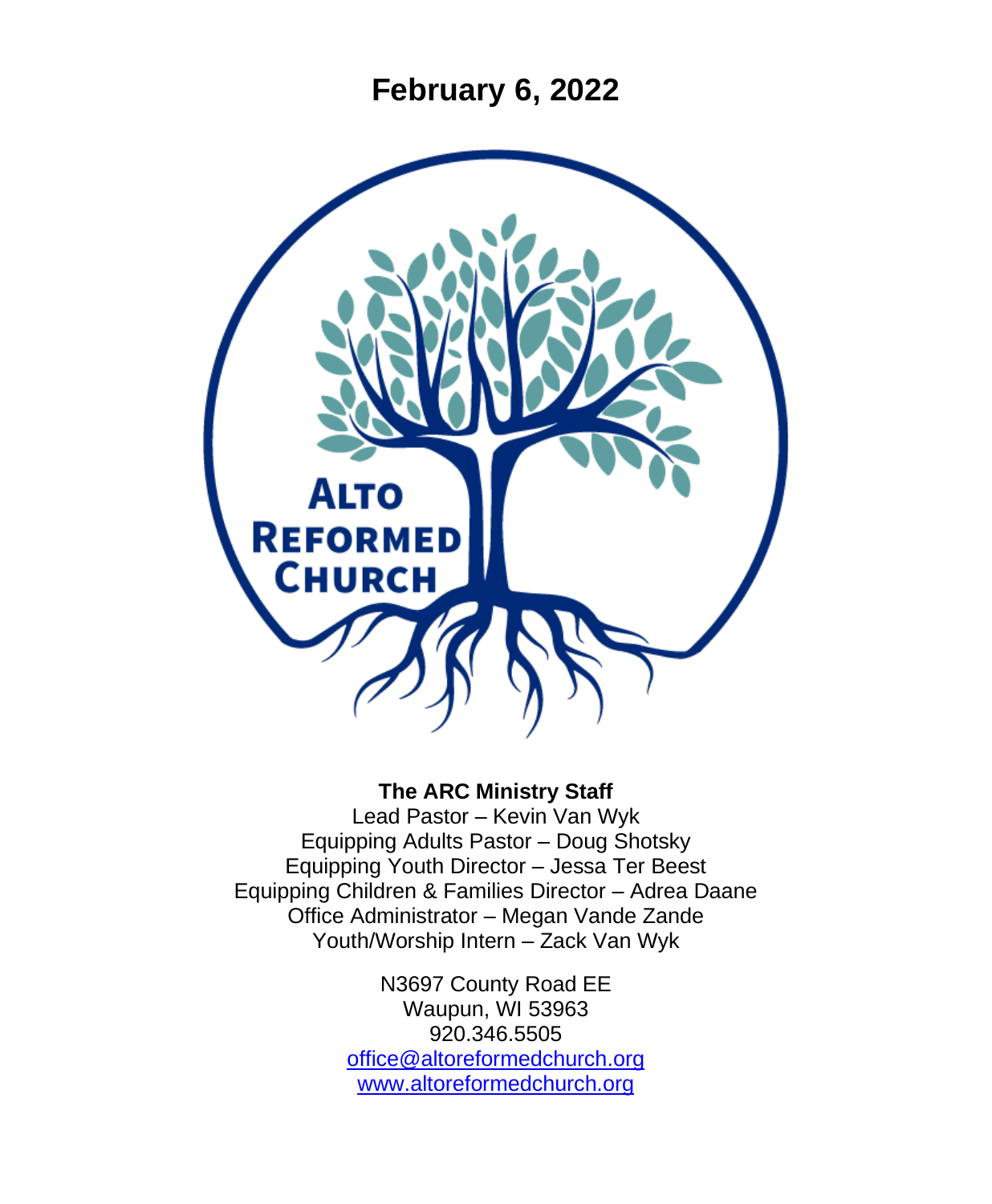**February 6, 2022**



#### **The ARC Ministry Staff**

Lead Pastor – Kevin Van Wyk Equipping Adults Pastor – Doug Shotsky Equipping Youth Director – Jessa Ter Beest Equipping Children & Families Director – Adrea Daane Office Administrator – Megan Vande Zande Youth/Worship Intern – Zack Van Wyk

> N3697 County Road EE Waupun, WI 53963 920.346.5505 [office@altoreformedchurch.org](mailto:office@altoreformedchurch.org) [www.altoreformedchurch.org](http://www.altoreformedchurch.org/)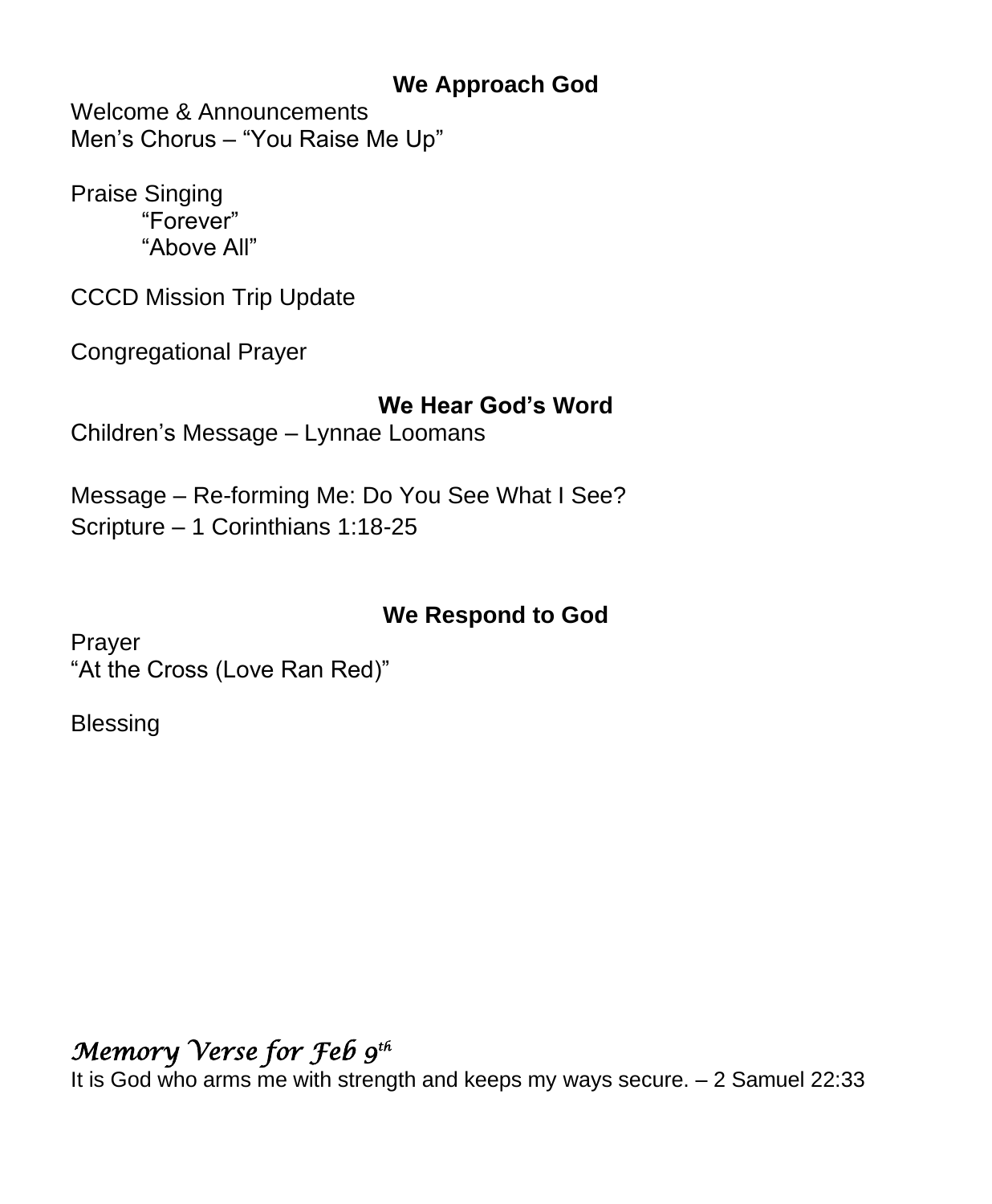#### **We Approach God**

Welcome & Announcements Men's Chorus – "You Raise Me Up"

Praise Singing "Forever" "Above All"

CCCD Mission Trip Update

Congregational Prayer

#### **We Hear God's Word**

Children's Message – Lynnae Loomans

Message – Re-forming Me: Do You See What I See? Scripture – 1 Corinthians 1:18-25

### **We Respond to God**

Prayer "At the Cross (Love Ran Red)"

**Blessing** 

# *Memory Verse for Feb 9 th*

It is God who arms me with strength and keeps my ways secure. – 2 Samuel 22:33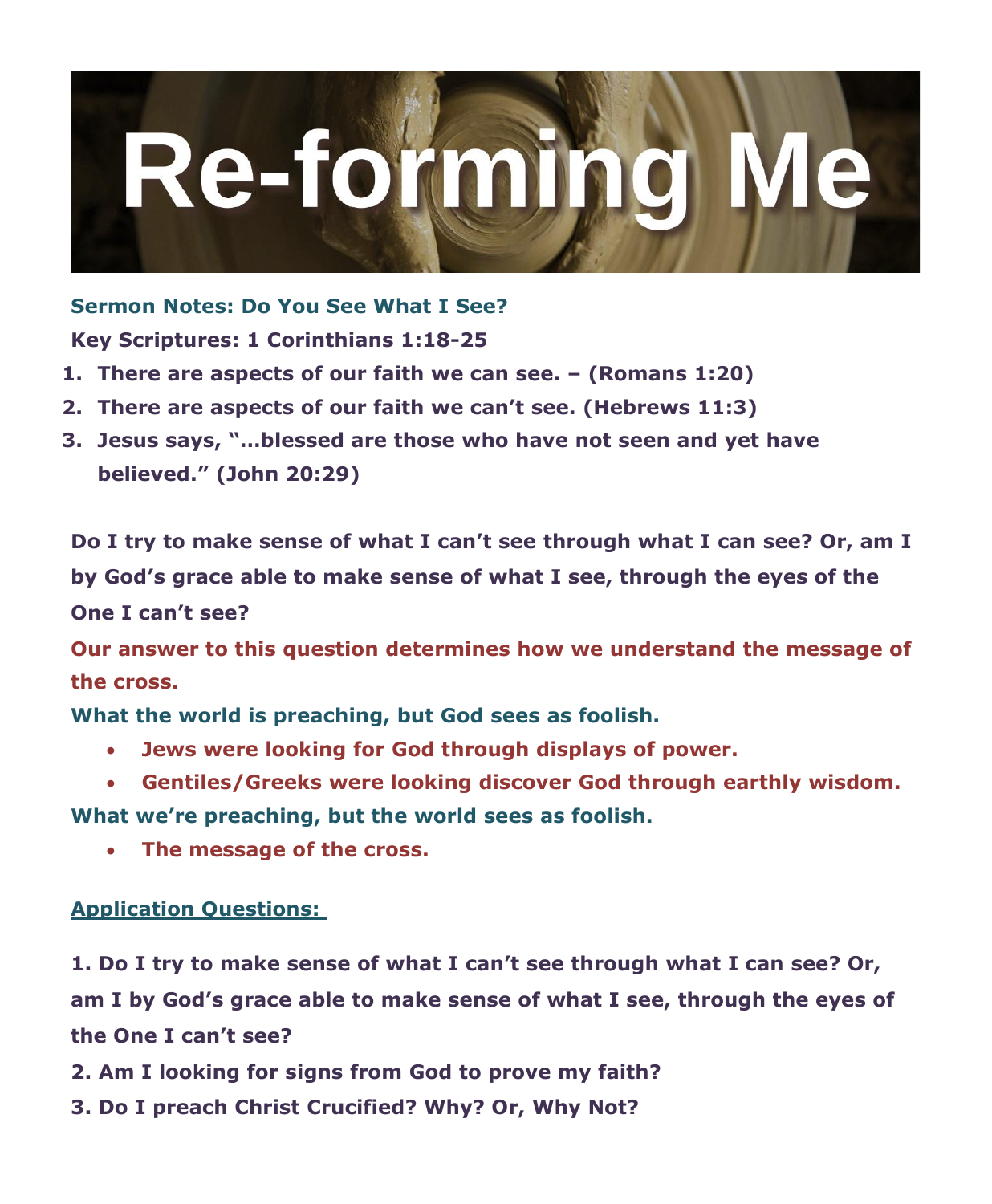

**Sermon Notes: Do You See What I See? Key Scriptures: 1 Corinthians 1:18-25**

- **1. There are aspects of our faith we can see. – (Romans 1:20)**
- **2. There are aspects of our faith we can't see. (Hebrews 11:3)**
- **3. Jesus says, "…blessed are those who have not seen and yet have believed." (John 20:29)**

**Do I try to make sense of what I can't see through what I can see? Or, am I by God's grace able to make sense of what I see, through the eyes of the One I can't see?**

**Our answer to this question determines how we understand the message of the cross.**

**What the world is preaching, but God sees as foolish.**

- **Jews were looking for God through displays of power.**
- **Gentiles/Greeks were looking discover God through earthly wisdom.**

**What we're preaching, but the world sees as foolish.**

• **The message of the cross.**

#### **Application Questions:**

**1. Do I try to make sense of what I can't see through what I can see? Or, am I by God's grace able to make sense of what I see, through the eyes of the One I can't see?**

- **2. Am I looking for signs from God to prove my faith?**
- **3. Do I preach Christ Crucified? Why? Or, Why Not?**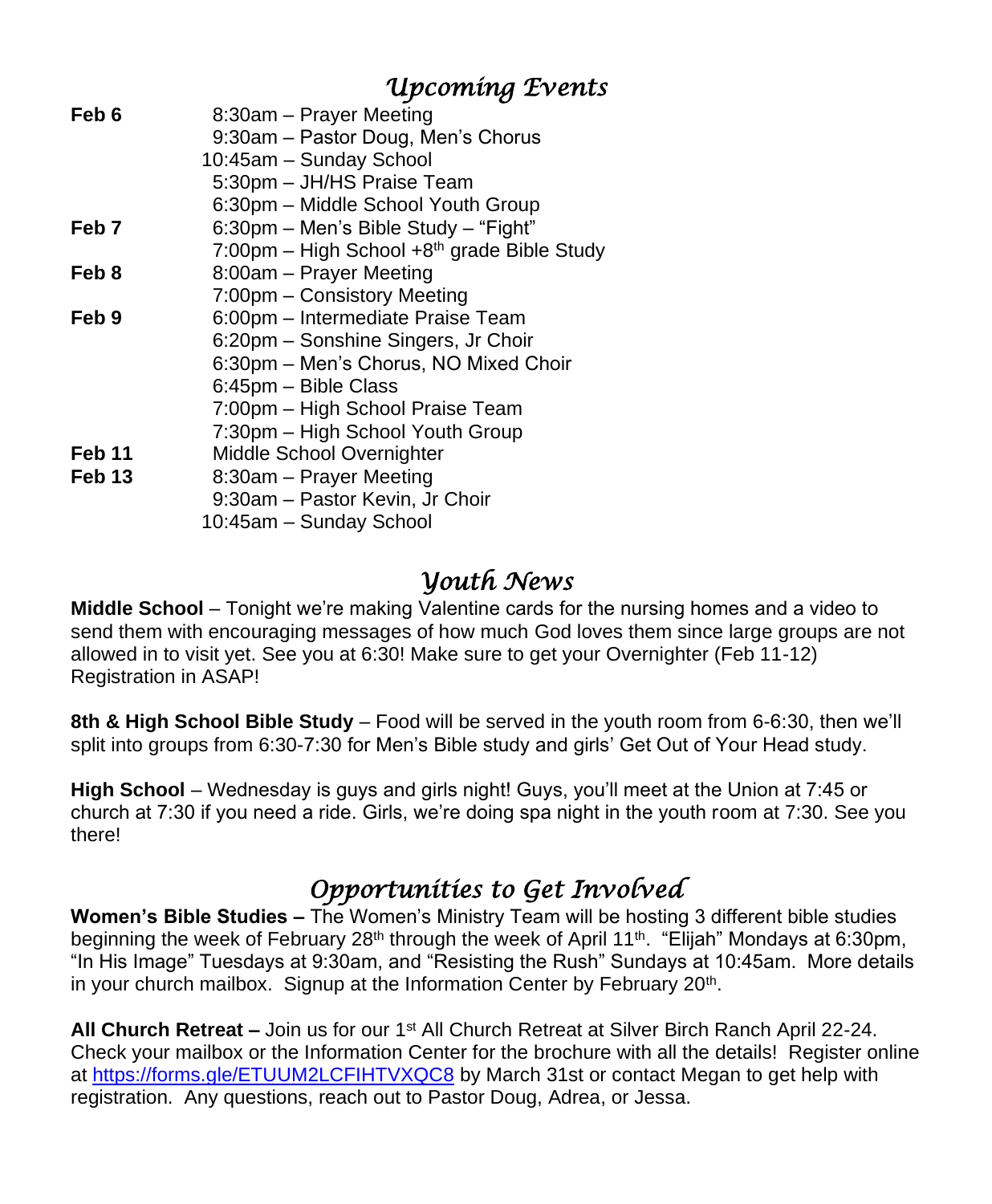# *Upcoming Events*

| Feb 6  | 8:30am - Prayer Meeting                     |
|--------|---------------------------------------------|
|        | 9:30am - Pastor Doug, Men's Chorus          |
|        | 10:45am - Sunday School                     |
|        | 5:30pm - JH/HS Praise Team                  |
|        | 6:30pm – Middle School Youth Group          |
| Feb 7  | 6:30pm - Men's Bible Study - "Fight"        |
|        | 7:00pm - High School +8th grade Bible Study |
| Feb 8  | 8:00am - Prayer Meeting                     |
|        | 7:00pm - Consistory Meeting                 |
| Feb 9  | 6:00pm - Intermediate Praise Team           |
|        | 6:20pm - Sonshine Singers, Jr Choir         |
|        | 6:30pm - Men's Chorus, NO Mixed Choir       |
|        | 6:45pm - Bible Class                        |
|        | 7:00pm - High School Praise Team            |
|        | 7:30pm – High School Youth Group            |
| Feb 11 | Middle School Overnighter                   |
| Feb 13 | 8:30am - Prayer Meeting                     |
|        | 9:30am - Pastor Kevin, Jr Choir             |
|        | 10:45am - Sunday School                     |
|        |                                             |

# *Youth News*

**Middle School** – Tonight we're making Valentine cards for the nursing homes and a video to send them with encouraging messages of how much God loves them since large groups are not allowed in to visit yet. See you at 6:30! Make sure to get your Overnighter (Feb 11-12) Registration in ASAP!

**8th & High School Bible Study** – Food will be served in the youth room from 6-6:30, then we'll split into groups from 6:30-7:30 for Men's Bible study and girls' Get Out of Your Head study.

**High School** – Wednesday is guys and girls night! Guys, you'll meet at the Union at 7:45 or church at 7:30 if you need a ride. Girls, we're doing spa night in the youth room at 7:30. See you there!

# *Opportunities to Get Involved*

**Women's Bible Studies –** The Women's Ministry Team will be hosting 3 different bible studies beginning the week of February 28<sup>th</sup> through the week of April 11<sup>th</sup>. "Elijah" Mondays at 6:30pm, "In His Image" Tuesdays at 9:30am, and "Resisting the Rush" Sundays at 10:45am. More details in your church mailbox. Signup at the Information Center by February 20<sup>th</sup>.

**All Church Retreat –** Join us for our 1st All Church Retreat at Silver Birch Ranch April 22-24. Check your mailbox or the Information Center for the brochure with all the details! Register online at<https://forms.gle/ETUUM2LCFIHTVXQC8> by March 31st or contact Megan to get help with registration. Any questions, reach out to Pastor Doug, Adrea, or Jessa.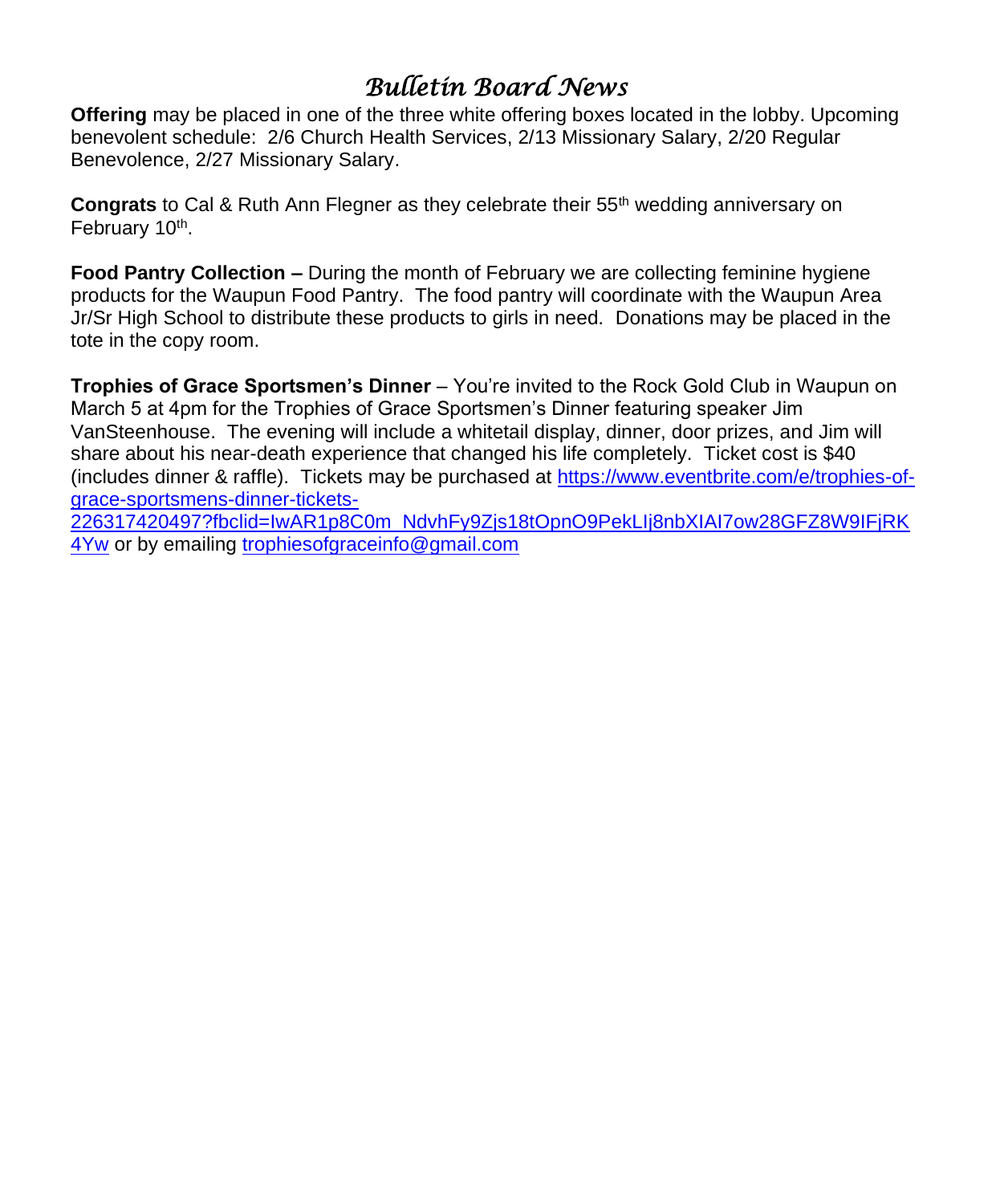# *Bulletin Board News*

**Offering** may be placed in one of the three white offering boxes located in the lobby. Upcoming benevolent schedule: 2/6 Church Health Services, 2/13 Missionary Salary, 2/20 Regular Benevolence, 2/27 Missionary Salary.

**Congrats** to Cal & Ruth Ann Flegner as they celebrate their 55th wedding anniversary on February 10<sup>th</sup>.

**Food Pantry Collection –** During the month of February we are collecting feminine hygiene products for the Waupun Food Pantry. The food pantry will coordinate with the Waupun Area Jr/Sr High School to distribute these products to girls in need. Donations may be placed in the tote in the copy room.

**Trophies of Grace Sportsmen's Dinner** – You're invited to the Rock Gold Club in Waupun on March 5 at 4pm for the Trophies of Grace Sportsmen's Dinner featuring speaker Jim VanSteenhouse. The evening will include a whitetail display, dinner, door prizes, and Jim will share about his near-death experience that changed his life completely. Ticket cost is \$40 (includes dinner & raffle). Tickets may be purchased at [https://www.eventbrite.com/e/trophies-of](https://www.eventbrite.com/e/trophies-of-grace-sportsmens-dinner-tickets-226317420497?fbclid=IwAR1p8C0m_NdvhFy9Zjs18tOpnO9PekLIj8nbXIAI7ow28GFZ8W9IFjRK4Yw)[grace-sportsmens-dinner-tickets-](https://www.eventbrite.com/e/trophies-of-grace-sportsmens-dinner-tickets-226317420497?fbclid=IwAR1p8C0m_NdvhFy9Zjs18tOpnO9PekLIj8nbXIAI7ow28GFZ8W9IFjRK4Yw)

[226317420497?fbclid=IwAR1p8C0m\\_NdvhFy9Zjs18tOpnO9PekLIj8nbXIAI7ow28GFZ8W9IFjRK](https://www.eventbrite.com/e/trophies-of-grace-sportsmens-dinner-tickets-226317420497?fbclid=IwAR1p8C0m_NdvhFy9Zjs18tOpnO9PekLIj8nbXIAI7ow28GFZ8W9IFjRK4Yw) [4Yw](https://www.eventbrite.com/e/trophies-of-grace-sportsmens-dinner-tickets-226317420497?fbclid=IwAR1p8C0m_NdvhFy9Zjs18tOpnO9PekLIj8nbXIAI7ow28GFZ8W9IFjRK4Yw) or by emailing [trophiesofgraceinfo@gmail.com](mailto:trophiesofgraceinfo@gmail.com)